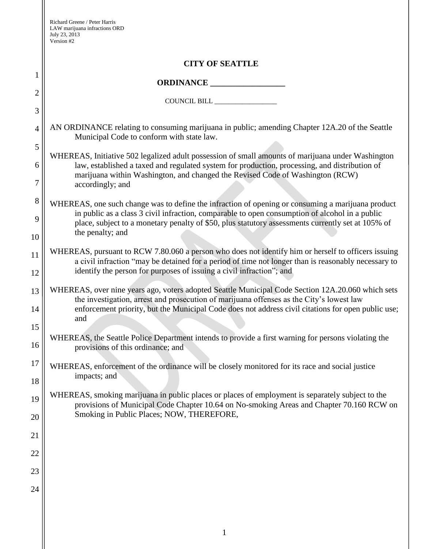1

2

3

4

5

6

7

8

9

10

11

12

13

14

15

16

17

18

19

20

21

22

23

24

## **CITY OF SEATTLE**

## **ORDINANCE \_\_\_\_\_\_\_\_\_\_\_\_\_\_\_\_\_\_**

COUNCIL BILL \_\_\_\_\_\_\_\_\_\_\_\_\_\_\_\_\_\_

AN ORDINANCE relating to consuming marijuana in public; amending Chapter 12A.20 of the Seattle Municipal Code to conform with state law.

WHEREAS, Initiative 502 legalized adult possession of small amounts of marijuana under Washington law, established a taxed and regulated system for production, processing, and distribution of marijuana within Washington, and changed the Revised Code of Washington (RCW) accordingly; and

WHEREAS, one such change was to define the infraction of opening or consuming a marijuana product in public as a class 3 civil infraction, comparable to open consumption of alcohol in a public place, subject to a monetary penalty of \$50, plus statutory assessments currently set at 105% of the penalty; and

WHEREAS, pursuant to RCW 7.80.060 a person who does not identify him or herself to officers issuing a civil infraction "may be detained for a period of time not longer than is reasonably necessary to identify the person for purposes of issuing a civil infraction"; and

WHEREAS, over nine years ago, voters adopted Seattle Municipal Code Section 12A.20.060 which sets the investigation, arrest and prosecution of marijuana offenses as the City's lowest law enforcement priority, but the Municipal Code does not address civil citations for open public use; and

WHEREAS, the Seattle Police Department intends to provide a first warning for persons violating the provisions of this ordinance; and

WHEREAS, enforcement of the ordinance will be closely monitored for its race and social justice impacts; and

WHEREAS, smoking marijuana in public places or places of employment is separately subject to the provisions of Municipal Code Chapter 10.64 on No-smoking Areas and Chapter 70.160 RCW on Smoking in Public Places; NOW, THEREFORE,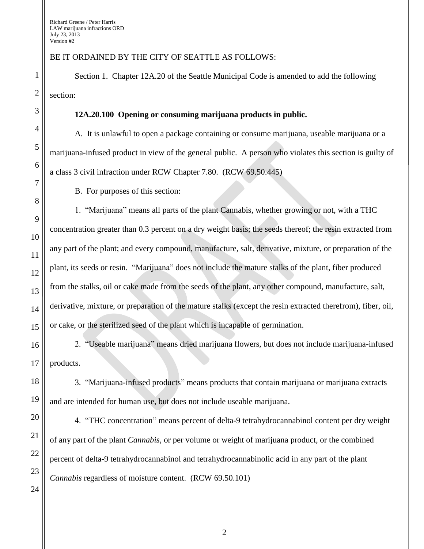Richard Greene / Peter Harris LAW marijuana infractions ORD July 23, 2013 Version #2

BE IT ORDAINED BY THE CITY OF SEATTLE AS FOLLOWS:

Section 1. Chapter 12A.20 of the Seattle Municipal Code is amended to add the following section:

## **12A.20.100 Opening or consuming marijuana products in public.**

A. It is unlawful to open a package containing or consume marijuana, useable marijuana or a marijuana-infused product in view of the general public. A person who violates this section is guilty of a class 3 civil infraction under RCW Chapter 7.80. (RCW 69.50.445)

B. For purposes of this section:

1. "Marijuana" means all parts of the plant Cannabis, whether growing or not, with a THC concentration greater than 0.3 percent on a dry weight basis; the seeds thereof; the resin extracted from any part of the plant; and every compound, manufacture, salt, derivative, mixture, or preparation of the plant, its seeds or resin. "Marijuana" does not include the mature stalks of the plant, fiber produced from the stalks, oil or cake made from the seeds of the plant, any other compound, manufacture, salt, derivative, mixture, or preparation of the mature stalks (except the resin extracted therefrom), fiber, oil, or cake, or the sterilized seed of the plant which is incapable of germination.

2. "Useable marijuana" means dried marijuana flowers, but does not include marijuana-infused products.

3. "Marijuana-infused products" means products that contain marijuana or marijuana extracts and are intended for human use, but does not include useable marijuana.

4. "THC concentration" means percent of delta-9 tetrahydrocannabinol content per dry weight of any part of the plant *Cannabis*, or per volume or weight of marijuana product, or the combined percent of delta-9 tetrahydrocannabinol and tetrahydrocannabinolic acid in any part of the plant *Cannabis* regardless of moisture content. (RCW 69.50.101)